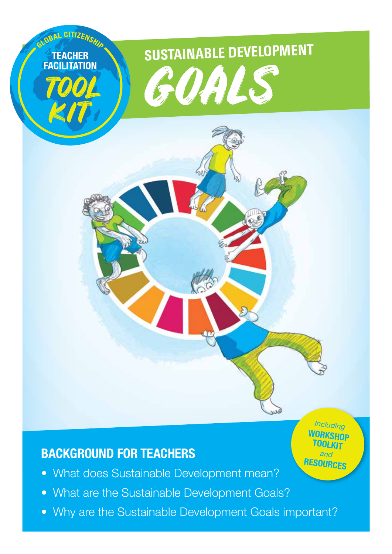

# **Background for Teachers**

- What does Sustainable Development mean?
- What are the Sustainable Development Goals?
- Why are the Sustainable Development Goals important?

*Including* **Workshop Toolkit** *and* **Resources**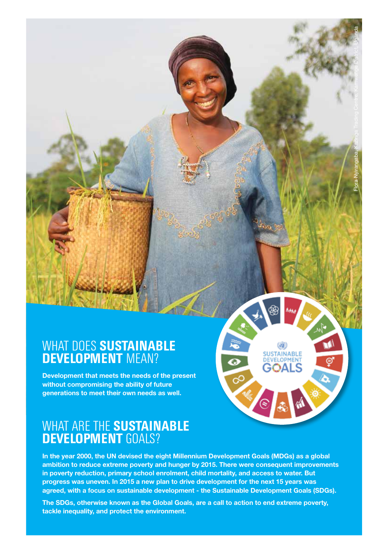## What does **Sustainable Development** mean?

Development that meets the needs of the present without compromising the ability of future generations to meet their own needs as well.

# What are the **Sustainable Development** Goals?

In the year 2000, the UN devised the eight Millennium Development Goals (MDGs) as a global ambition to reduce extreme poverty and hunger by 2015. There were consequent improvements in poverty reduction, primary school enrolment, child mortality, and access to water. But progress was uneven. In 2015 a new plan to drive development for the next 15 years was agreed, with a focus on sustainable development - the Sustainable Development Goals (SDGs).

**SUSTAINABLE** DEVELOPMENT

Flora Nyirangaba, Kazinga Trading Centre, Kamwenge District, Uganda

The SDGs, otherwise known as the Global Goals, are a call to action to end extreme poverty, tackle inequality, and protect the environment.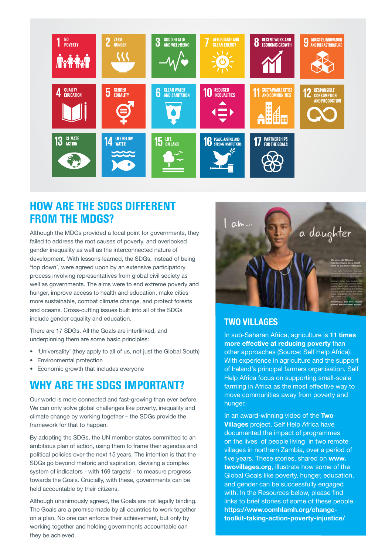

### **How are the SDGs different from the MDGs?**

Although the MDGs provided a focal point for governments, they failed to address the root causes of poverty, and overlooked gender inequality as well as the interconnected nature of development. With lessons learned, the SDGs, instead of being 'top down', were agreed upon by an extensive participatory process involving representatives from global civil society as well as governments. The aims were to end extreme poverty and hunger, improve access to health and education, make cities more sustainable, combat climate change, and protect forests and oceans. Cross-cutting issues built into all of the SDGs include gender equality and education.

There are 17 SDGs. All the Goals are interlinked, and underpinning them are some basic principles:

- 'Universality' (they apply to all of us, not just the Global South)
- Environmental protection
- • Economic growth that includes everyone

### **Why are the SDGs important?**

Our world is more connected and fast-growing than ever before. We can only solve global challenges like poverty, inequality and climate change by working together – the SDGs provide the framework for that to happen.

By adopting the SDGs, the UN member states committed to an ambitious plan of action, using them to frame their agendas and political policies over the next 15 years. The intention is that the SDGs go beyond rhetoric and aspiration, devising a complex system of indicators - with 169 targets! - to measure progress towards the Goals. Crucially, with these, governments can be held accountable by their citizens.

Although unanimously agreed, the Goals are not legally binding. The Goals are a promise made by all countries to work together on a plan. No one can enforce their achievement, but only by working together and holding governments accountable can they be achieved.



### **TWO VILLAGES**

In sub-Saharan Africa, agriculture is 11 times more effective at reducing poverty than other approaches (Source: Self Help Africa). With experience in agriculture and the support of Ireland's principal farmers organisation, Self Help Africa focus on supporting small-scale farming in Africa as the most effective way to move communities away from poverty and hunger.

In an award-winning video of the Two Villages project, Self Help Africa have documented the impact of programmes on the lives of people living in two remote villages in northern Zambia, over a period of five years. These stories, shared on www. twovillages.org, illustrate how some of the Global Goals like poverty, hunger, education, and gender can be successfully engaged with. In the Resources below, please find links to brief stories of some of these people. https://www.comhlamh.org/changetoolkit-taking-action-poverty-injustice/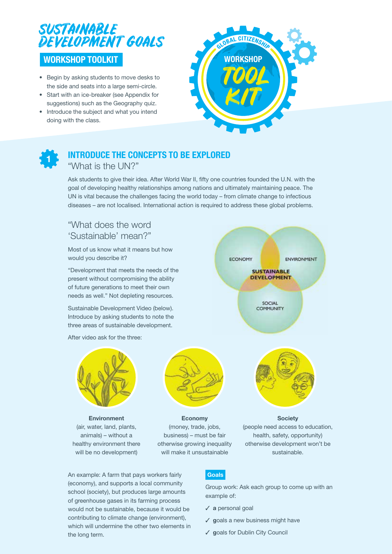

- • Begin by asking students to move desks to the side and seats into a large semi-circle.
- Start with an ice-breaker (see Appendix for suggestions) such as the Geography quiz.
- Introduce the subject and what you intend doing with the class.





## **Introduce the concepts to be explored**

"What is the UN?"

Ask students to give their idea. After World War II, fifty one countries founded the U.N. with the goal of developing healthy relationships among nations and ultimately maintaining peace. The UN is vital because the challenges facing the world today – from climate change to infectious diseases – are not localised. International action is required to address these global problems.

### "What does the word 'Sustainable' mean?"

Most of us know what it means but how would you describe it?

"Development that meets the needs of the present without compromising the ability of future generations to meet their own needs as well." Not depleting resources.

Sustainable Development Video (below). Introduce by asking students to note the three areas of sustainable development.

After video ask for the three:



Environment (air, water, land, plants, animals) – without a healthy environment there will be no development)



Economy (money, trade, jobs, business) – must be fair otherwise growing inequality will make it unsustainable



**Society** (people need access to education, health, safety, opportunity) otherwise development won't be sustainable.

An example: A farm that pays workers fairly (economy), and supports a local community school (society), but produces large amounts of greenhouse gases in its farming process would not be sustainable, because it would be contributing to climate change (environment), which will undermine the other two elements in the long term.

### Goals

Group work: Ask each group to come up with an example of:

- ✓ a personal goal
- $\checkmark$  goals a new business might have
- ✓ goals for Dublin City Council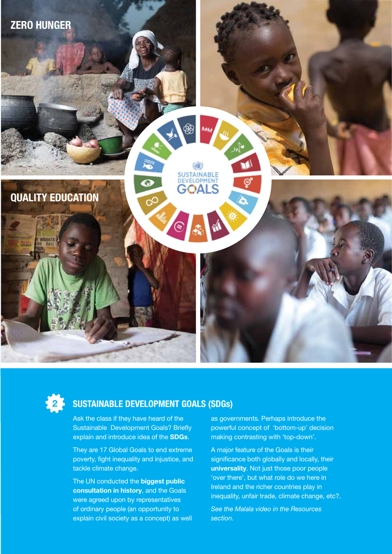



## **2 Sustainable Development Goals (SDGs)**

Ask the class if they have heard of the Sustainable Development Goals? Briefly explain and introduce idea of the SDGs.

They are 17 Global Goals to end extreme poverty, fight inequality and injustice, and tackle climate change.

The UN conducted the **biggest public** consultation in history, and the Goals were agreed upon by representatives of ordinary people (an opportunity to explain civil society as a concept) as well as governments. Perhaps introduce the powerful concept of 'bottom-up' decision making contrasting with 'top-down'.

A major feature of the Goals is their significance both globally and locally, their universality. Not just those poor people 'over there', but what role do we here in Ireland and the richer countries play in inequality, unfair trade, climate change, etc?.

*See the Malala video in the Resources section.*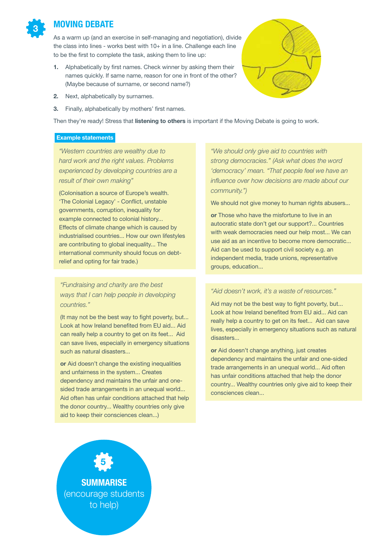

### **Moving Debate**

As a warm up (and an exercise in self-managing and negotiation), divide the class into lines - works best with 10+ in a line. Challenge each line to be the first to complete the task, asking them to line up:

- 1. Alphabetically by first names. Check winner by asking them their names quickly. If same name, reason for one in front of the other? (Maybe because of surname, or second name?)
- 2. Next, alphabetically by surnames.
- 3. Finally, alphabetically by mothers' first names.

Then they're ready! Stress that listening to others is important if the Moving Debate is going to work.

#### Example statements

*"Western countries are wealthy due to hard work and the right values. Problems experienced by developing countries are a result of their own making"* 

(Colonisation a source of Europe's wealth. 'The Colonial Legacy' - Conflict, unstable governments, corruption, inequality for example connected to colonial history... Effects of climate change which is caused by industrialised countries... How our own lifestyles are contributing to global inequality... The international community should focus on debtrelief and opting for fair trade.)

*"Fundraising and charity are the best ways that I can help people in developing countries."* 

(It may not be the best way to fight poverty, but... Look at how Ireland benefited from EU aid... Aid can really help a country to get on its feet... Aid can save lives, especially in emergency situations such as natural disasters...

or Aid doesn't change the existing inequalities and unfairness in the system... Creates dependency and maintains the unfair and onesided trade arrangements in an unequal world... Aid often has unfair conditions attached that help the donor country... Wealthy countries only give aid to keep their consciences clean...)

*"We should only give aid to countries with strong democracies." (Ask what does the word 'democracy' mean. "That people feel we have an influence over how decisions are made about our community.")*

We should not give money to human rights abusers...

or Those who have the misfortune to live in an autocratic state don't get our support?... Countries with weak democracies need our help most... We can use aid as an incentive to become more democratic... Aid can be used to support civil society e.g. an independent media, trade unions, representative groups, education...

#### *"Aid doesn't work, it's a waste of resources."*

Aid may not be the best way to fight poverty, but... Look at how Ireland benefited from EU aid... Aid can really help a country to get on its feet... Aid can save lives, especially in emergency situations such as natural disasters...

or Aid doesn't change anything, just creates dependency and maintains the unfair and one-sided trade arrangements in an unequal world... Aid often has unfair conditions attached that help the donor country... Wealthy countries only give aid to keep their consciences clean...

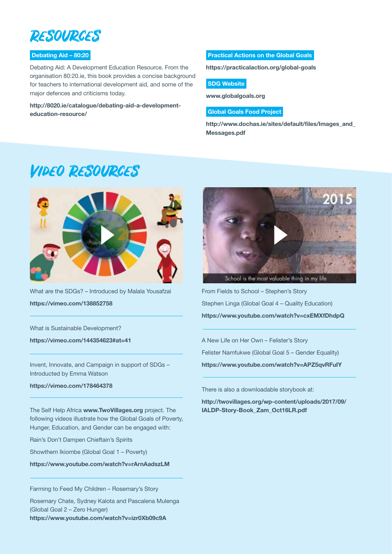

### Debating Aid – 80:20

Debating Aid: A Development Education Resource. From the organisation 80:20.ie, this book provides a concise background for teachers to international development aid, and some of the major defences and criticisms today.

http://8020.ie/catalogue/debating-aid-a-developmenteducation-resource/

Practical Actions on the Global Goals

https://practicalaction.org/global-goals

#### **SDG Website**

www.globalgoals.org

#### Global Goals Food Project

http://www.dochas.ie/sites/default/files/Images\_and\_ Messages.pdf

# Video Resources



What are the SDGs? – Introduced by Malala Yousafzai https://vimeo.com/138852758

What is Sustainable Development?

https://vimeo.com/144354623#at=41

Invent, Innovate, and Campaign in support of SDGs – Introducted by Emma Watson

https://vimeo.com/178464378

The Self Help Africa www.TwoVillages.org project. The following videos illustrate how the Global Goals of Poverty, Hunger, Education, and Gender can be engaged with:

Rain's Don't Dampen Chieftain's Spirits

Showthem Ikiombe (Global Goal 1 – Poverty)

https://www.youtube.com/watch?v=rArnAadszLM

Farming to Feed My Children – Rosemary's Story

Rosemary Chate, Sydney Kalota and Pascalena Mulenga (Global Goal 2 – Zero Hunger) https://www.youtube.com/watch?v=izr0Xb09c9A



School is the most valuable thing in my life

From Fields to School – Stephen's Story Stephen Linga (Global Goal 4 – Quality Education) https://www.youtube.com/watch?v=cxEMXfDhdpQ

A New Life on Her Own – Felister's Story

Felister Namfukwe (Global Goal 5 – Gender Equality)

https://www.youtube.com/watch?v=APZ5qvRFuIY

There is also a downloadable storybook at:

http://twovillages.org/wp-content/uploads/2017/09/ IALDP-Story-Book\_Zam\_Oct16LR.pdf